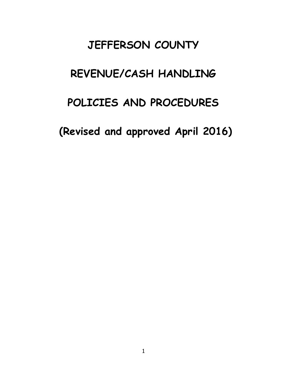# **JEFFERSON COUNTY**

# **REVENUE/CASH HANDLING**

# **POLICIES AND PROCEDURES**

**(Revised and approved April 2016)**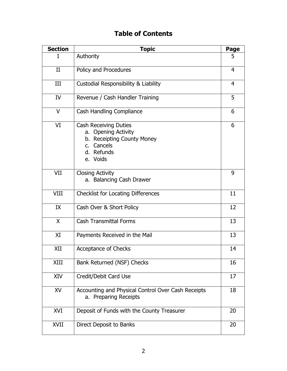# **Table of Contents**

| <b>Section</b> | <b>Topic</b>                                                                                                              | Page |
|----------------|---------------------------------------------------------------------------------------------------------------------------|------|
| I              | Authority                                                                                                                 | 5    |
| II             | Policy and Procedures                                                                                                     | 4    |
| III            | Custodial Responsibility & Liability                                                                                      | 4    |
| <b>IV</b>      | Revenue / Cash Handler Training                                                                                           | 5    |
| $\vee$         | <b>Cash Handling Compliance</b>                                                                                           | 6    |
| VI             | <b>Cash Receiving Duties</b><br>a. Opening Activity<br>b. Receipting County Money<br>c. Cancels<br>d. Refunds<br>e. Voids | 6    |
| VII            | <b>Closing Activity</b><br>a. Balancing Cash Drawer                                                                       | 9    |
| <b>VIII</b>    | <b>Checklist for Locating Differences</b>                                                                                 | 11   |
| IX             | Cash Over & Short Policy                                                                                                  | 12   |
| X              | <b>Cash Transmittal Forms</b>                                                                                             | 13   |
| XI             | Payments Received in the Mail                                                                                             | 13   |
| XII            | Acceptance of Checks                                                                                                      | 14   |
| XIII           | Bank Returned (NSF) Checks                                                                                                | 16   |
| XIV            | Credit/Debit Card Use                                                                                                     | 17   |
| XV             | Accounting and Physical Control Over Cash Receipts<br>a. Preparing Receipts                                               | 18   |
| XVI            | Deposit of Funds with the County Treasurer                                                                                | 20   |
| XVII           | Direct Deposit to Banks                                                                                                   | 20   |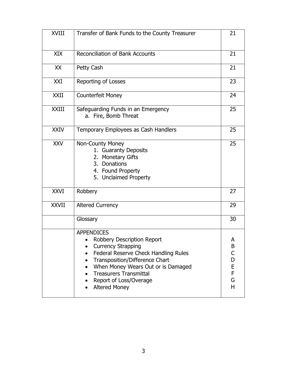| XVIII        | Transfer of Bank Funds to the County Treasurer                                                                                                                                                                                                                                  | 21                                   |
|--------------|---------------------------------------------------------------------------------------------------------------------------------------------------------------------------------------------------------------------------------------------------------------------------------|--------------------------------------|
| XIX          | <b>Reconciliation of Bank Accounts</b>                                                                                                                                                                                                                                          | 21                                   |
| XX           | Petty Cash                                                                                                                                                                                                                                                                      | 21                                   |
| XXI          | Reporting of Losses                                                                                                                                                                                                                                                             | 23                                   |
| <b>XXII</b>  | <b>Counterfeit Money</b>                                                                                                                                                                                                                                                        | 24                                   |
| XXIII        | Safeguarding Funds in an Emergency<br>a. Fire, Bomb Threat                                                                                                                                                                                                                      | 25                                   |
| <b>XXIV</b>  | Temporary Employees as Cash Handlers                                                                                                                                                                                                                                            | 25                                   |
| <b>XXV</b>   | Non-County Money<br>1. Guaranty Deposits<br>2. Monetary Gifts<br>3. Donations<br>4. Found Property<br>5. Unclaimed Property                                                                                                                                                     | 25                                   |
| <b>XXVI</b>  | Robbery                                                                                                                                                                                                                                                                         | 27                                   |
| <b>XXVII</b> | <b>Altered Currency</b>                                                                                                                                                                                                                                                         | 29                                   |
|              | Glossary                                                                                                                                                                                                                                                                        | 30                                   |
|              | <b>APPENDICES</b><br>Robbery Description Report<br><b>Currency Strapping</b><br>Federal Reserve Check Handling Rules<br>Transposition/Difference Chart<br>When Money Wears Out or is Damaged<br><b>Treasurers Transmittal</b><br>Report of Loss/Overage<br><b>Altered Money</b> | A<br>B<br>C<br>D<br>E<br>F<br>G<br>H |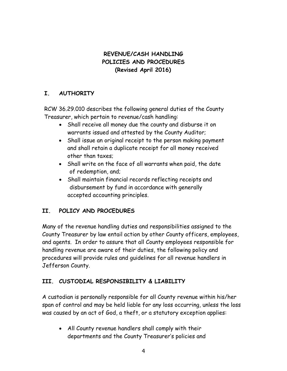# **REVENUE/CASH HANDLING POLICIES AND PROCEDURES (Revised April 2016)**

# **I. AUTHORITY**

RCW 36.29.010 describes the following general duties of the County Treasurer, which pertain to revenue/cash handling:

- Shall receive all money due the county and disburse it on warrants issued and attested by the County Auditor;
- Shall issue an original receipt to the person making payment and shall retain a duplicate receipt for all money received other than taxes;
- Shall write on the face of all warrants when paid, the date of redemption, and;
- Shall maintain financial records reflecting receipts and disbursement by fund in accordance with generally accepted accounting principles.

# **II. POLICY AND PROCEDURES**

Many of the revenue handling duties and responsibilities assigned to the County Treasurer by law entail action by other County officers, employees, and agents. In order to assure that all County employees responsible for handling revenue are aware of their duties, the following policy and procedures will provide rules and guidelines for all revenue handlers in Jefferson County.

# **III. CUSTODIAL RESPONSIBILITY & LIABILITY**

A custodian is personally responsible for all County revenue within his/her span of control and may be held liable for any loss occurring, unless the loss was caused by an act of God, a theft, or a statutory exception applies:

 All County revenue handlers shall comply with their departments and the County Treasurer's policies and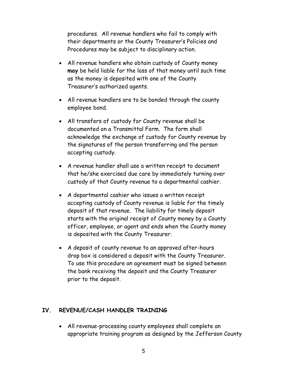procedures. All revenue handlers who fail to comply with their departments or the County Treasurer's Policies and Procedures may be subject to disciplinary action.

- All revenue handlers who obtain custody of County money **may** be held liable for the loss of that money until such time as the money is deposited with one of the County Treasurer's authorized agents.
- All revenue handlers are to be bonded through the county employee bond.
- All transfers of custody for County revenue shall be documented on a Transmittal Form. The form shall acknowledge the exchange of custody for County revenue by the signatures of the person transferring and the person accepting custody.
- A revenue handler shall use a written receipt to document that he/she exercised due care by immediately turning over custody of that County revenue to a departmental cashier.
- A departmental cashier who issues a written receipt accepting custody of County revenue is liable for the timely deposit of that revenue. The liability for timely deposit starts with the original receipt of County money by a County officer, employee, or agent and ends when the County money is deposited with the County Treasurer.
- A deposit of county revenue to an approved after-hours drop box is considered a deposit with the County Treasurer. To use this procedure an agreement must be signed between the bank receiving the deposit and the County Treasurer prior to the deposit.

#### **IV. REVENUE/CASH HANDLER TRAINING**

 All revenue-processing county employees shall complete an appropriate training program as designed by the Jefferson County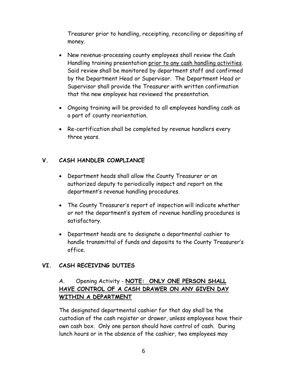Treasurer prior to handling, receipting, reconciling or depositing of money.

- New revenue-processing county employees shall review the Cash Handling training presentation prior to any cash handling activities. Said review shall be monitored by department staff and confirmed by the Department Head or Supervisor. The Department Head or Supervisor shall provide the Treasurer with written confirmation that the new employee has reviewed the presentation.
- Ongoing training will be provided to all employees handling cash as a part of county reorientation.
- Re-certification shall be completed by revenue handlers every three years.

# **V. CASH HANDLER COMPLIANCE**

- Department heads shall allow the County Treasurer or an authorized deputy to periodically inspect and report on the department's revenue handling procedures.
- The County Treasurer's report of inspection will indicate whether or not the department's system of revenue handling procedures is satisfactory.
- Department heads are to designate a departmental cashier to handle transmittal of funds and deposits to the County Treasurer's office.

#### **VI. CASH RECEIVING DUTIES**

# A. Opening Activity - **NOTE: ONLY ONE PERSON SHALL HAVE CONTROL OF A CASH DRAWER ON ANY GIVEN DAY WITHIN A DEPARTMENT**

The designated departmental cashier for that day shall be the custodian of the cash register or drawer, unless employees have their own cash box. Only one person should have control of cash. During lunch hours or in the absence of the cashier, two employees may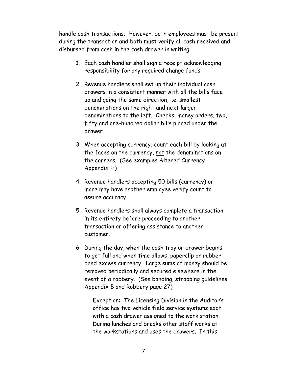handle cash transactions. However, both employees must be present during the transaction and both must verify all cash received and disbursed from cash in the cash drawer in writing.

- 1. Each cash handler shall sign a receipt acknowledging responsibility for any required change funds.
- 2. Revenue handlers shall set up their individual cash drawers in a consistent manner with all the bills face up and going the same direction, i.e. smallest denominations on the right and next larger denominations to the left. Checks, money orders, two, fifty and one-hundred dollar bills placed under the drawer.
- 3. When accepting currency, count each bill by looking at the faces on the currency, not the denominations on the corners. (See examples Altered Currency, Appendix H)
- 4. Revenue handlers accepting 50 bills (currency) or more may have another employee verify count to assure accuracy.
- 5. Revenue handlers shall always complete a transaction in its entirety before proceeding to another transaction or offering assistance to another customer.
- 6. During the day, when the cash tray or drawer begins to get full and when time allows, paperclip or rubber band excess currency. Large sums of money should be removed periodically and secured elsewhere in the event of a robbery. (See banding, strapping guidelines Appendix B and Robbery page 27)

Exception: The Licensing Division in the Auditor's office has two vehicle field service systems each with a cash drawer assigned to the work station. During lunches and breaks other staff works at the workstations and uses the drawers. In this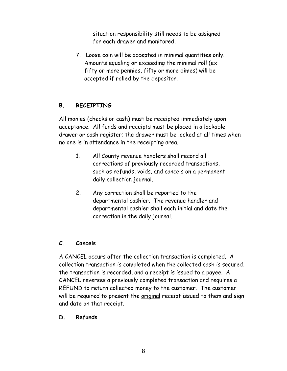situation responsibility still needs to be assigned for each drawer and monitored.

7. Loose coin will be accepted in minimal quantities only. Amounts equaling or exceeding the minimal roll (ex: fifty or more pennies, fifty or more dimes) will be accepted if rolled by the depositor.

### **B. RECEIPTING**

All monies (checks or cash) must be receipted immediately upon acceptance. All funds and receipts must be placed in a lockable drawer or cash register; the drawer must be locked at all times when no one is in attendance in the receipting area.

- 1. All County revenue handlers shall record all corrections of previously recorded transactions, such as refunds, voids, and cancels on a permanent daily collection journal.
- 2. Any correction shall be reported to the departmental cashier. The revenue handler and departmental cashier shall each initial and date the correction in the daily journal.

#### **C. Cancels**

A CANCEL occurs after the collection transaction is completed. A collection transaction is completed when the collected cash is secured, the transaction is recorded, and a receipt is issued to a payee. A CANCEL reverses a previously completed transaction and requires a REFUND to return collected money to the customer. The customer will be required to present the original receipt issued to them and sign and date on that receipt.

#### **D. Refunds**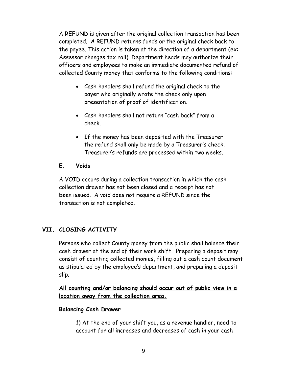A REFUND is given after the original collection transaction has been completed. A REFUND returns funds or the original check back to the payee. This action is taken at the direction of a department (ex: Assessor changes tax roll). Department heads may authorize their officers and employees to make an immediate documented refund of collected County money that conforms to the following conditions:

- Cash handlers shall refund the original check to the payer who originally wrote the check only upon presentation of proof of identification.
- Cash handlers shall not return "cash back" from a check.
- If the money has been deposited with the Treasurer the refund shall only be made by a Treasurer's check. Treasurer's refunds are processed within two weeks.

### **E. Voids**

A VOID occurs during a collection transaction in which the cash collection drawer has not been closed and a receipt has not been issued. A void does not require a REFUND since the transaction is not completed.

# **VII. CLOSING ACTIVITY**

Persons who collect County money from the public shall balance their cash drawer at the end of their work shift. Preparing a deposit may consist of counting collected monies, filling out a cash count document as stipulated by the employee's department, and preparing a deposit slip.

**All counting and/or balancing should occur out of public view in a location away from the collection area.**

#### **Balancing Cash Drawer**

1) At the end of your shift you, as a revenue handler, need to account for all increases and decreases of cash in your cash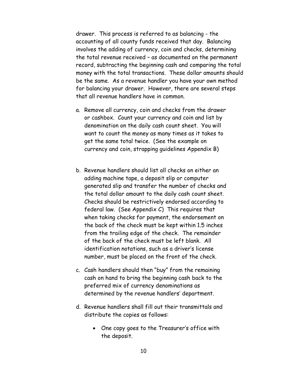drawer. This process is referred to as balancing - the accounting of all county funds received that day. Balancing involves the adding of currency, coin and checks, determining the total revenue received – as documented on the permanent record, subtracting the beginning cash and comparing the total money with the total transactions. These dollar amounts should be the same. As a revenue handler you have your own method for balancing your drawer. However, there are several steps that all revenue handlers have in common.

- a. Remove all currency, coin and checks from the drawer or cashbox. Count your currency and coin and list by denomination on the daily cash count sheet. You will want to count the money as many times as it takes to get the same total twice. (See the example on currency and coin, strapping guidelines Appendix B)
- b. Revenue handlers should list all checks on either an adding machine tape, a deposit slip or computer generated slip and transfer the number of checks and the total dollar amount to the daily cash count sheet. Checks should be restrictively endorsed according to federal law. (See Appendix C) This requires that when taking checks for payment, the endorsement on the back of the check must be kept within 1.5 inches from the trailing edge of the check. The remainder of the back of the check must be left blank. All identification notations, such as a driver's license number, must be placed on the front of the check.
- c. Cash handlers should then "buy" from the remaining cash on hand to bring the beginning cash back to the preferred mix of currency denominations as determined by the revenue handlers' department.
- d. Revenue handlers shall fill out their transmittals and distribute the copies as follows:
	- One copy goes to the Treasurer's office with the deposit.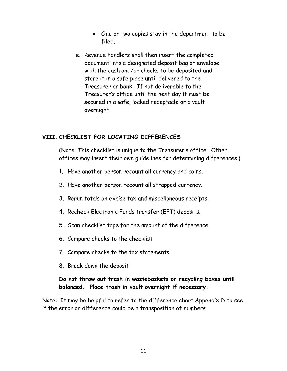- One or two copies stay in the department to be filed.
- e. Revenue handlers shall then insert the completed document into a designated deposit bag or envelope with the cash and/or checks to be deposited and store it in a safe place until delivered to the Treasurer or bank. If not deliverable to the Treasurer's office until the next day it must be secured in a safe, locked receptacle or a vault overnight.

#### **VIII. CHECKLIST FOR LOCATING DIFFERENCES**

(Note: This checklist is unique to the Treasurer's office. Other offices may insert their own guidelines for determining differences.)

- 1. Have another person recount all currency and coins.
- 2. Have another person recount all strapped currency.
- 3. Rerun totals on excise tax and miscellaneous receipts.
- 4. Recheck Electronic Funds transfer (EFT) deposits.
- 5. Scan checklist tape for the amount of the difference.
- 6. Compare checks to the checklist
- 7. Compare checks to the tax statements.
- 8. Break down the deposit

### **Do not throw out trash in wastebaskets or recycling boxes until balanced. Place trash in vault overnight if necessary.**

Note: It may be helpful to refer to the difference chart Appendix D to see if the error or difference could be a transposition of numbers.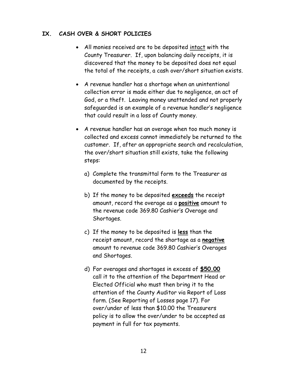### **IX. CASH OVER & SHORT POLICIES**

- All monies received are to be deposited intact with the County Treasurer. If, upon balancing daily receipts, it is discovered that the money to be deposited does not equal the total of the receipts, a cash over/short situation exists.
- A revenue handler has a shortage when an unintentional collection error is made either due to negligence, an act of God, or a theft. Leaving money unattended and not properly safeguarded is an example of a revenue handler's negligence that could result in a loss of County money.
- A revenue handler has an overage when too much money is collected and excess cannot immediately be returned to the customer. If, after an appropriate search and recalculation, the over/short situation still exists, take the following steps:
	- a) Complete the transmittal form to the Treasurer as documented by the receipts.
	- b) If the money to be deposited **exceeds** the receipt amount, record the overage as a **positive** amount to the revenue code 369.80 Cashier's Overage and Shortages.
	- c) If the money to be deposited is **less** than the receipt amount, record the shortage as a **negative** amount to revenue code 369.80 Cashier's Overages and Shortages.
	- d) For overages and shortages in excess of **\$50.00** call it to the attention of the Department Head or Elected Official who must then bring it to the attention of the County Auditor via Report of Loss form. (See Reporting of Losses page 17). For over/under of less than \$10.00 the Treasurers policy is to allow the over/under to be accepted as payment in full for tax payments.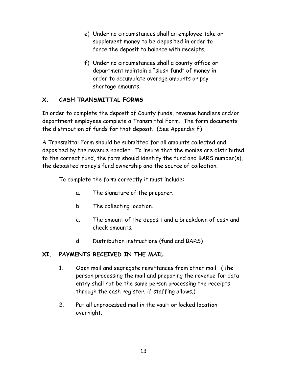- e) Under no circumstances shall an employee take or supplement money to be deposited in order to force the deposit to balance with receipts.
- f) Under no circumstances shall a county office or department maintain a "slush fund" of money in order to accumulate overage amounts or pay shortage amounts.

# **X. CASH TRANSMITTAL FORMS**

In order to complete the deposit of County funds, revenue handlers and/or department employees complete a Transmittal Form. The form documents the distribution of funds for that deposit. (See Appendix F)

A Transmittal Form should be submitted for all amounts collected and deposited by the revenue handler. To insure that the monies are distributed to the correct fund, the form should identify the fund and BARS number(s), the deposited money's fund ownership and the source of collection.

To complete the form correctly it must include:

- a. The signature of the preparer.
- b. The collecting location.
- c. The amount of the deposit and a breakdown of cash and check amounts.
- d. Distribution instructions (fund and BARS)

# **XI. PAYMENTS RECEIVED IN THE MAIL**

- 1. Open mail and segregate remittances from other mail. (The person processing the mail and preparing the revenue for data entry shall not be the same person processing the receipts through the cash register, if staffing allows.)
- 2. Put all unprocessed mail in the vault or locked location overnight.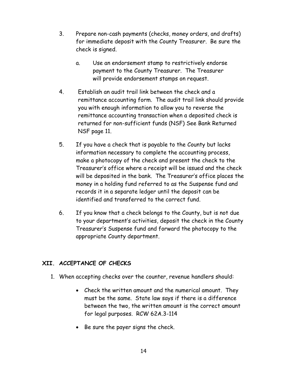- 3. Prepare non-cash payments (checks, money orders, and drafts) for immediate deposit with the County Treasurer. Be sure the check is signed.
	- a. Use an endorsement stamp to restrictively endorse payment to the County Treasurer. The Treasurer will provide endorsement stamps on request.
- 4. Establish an audit trail link between the check and a remittance accounting form. The audit trail link should provide you with enough information to allow you to reverse the remittance accounting transaction when a deposited check is returned for non-sufficient funds (NSF) See Bank Returned NSF page 11.
- 5. If you have a check that is payable to the County but lacks information necessary to complete the accounting process, make a photocopy of the check and present the check to the Treasurer's office where a receipt will be issued and the check will be deposited in the bank. The Treasurer's office places the money in a holding fund referred to as the Suspense fund and records it in a separate ledger until the deposit can be identified and transferred to the correct fund.
- 6. If you know that a check belongs to the County, but is not due to your department's activities, deposit the check in the County Treasurer's Suspense fund and forward the photocopy to the appropriate County department.

#### **XII. ACCEPTANCE OF CHECKS**

- 1. When accepting checks over the counter, revenue handlers should:
	- Check the written amount and the numerical amount. They must be the same. State law says if there is a difference between the two, the written amount is the correct amount for legal purposes. RCW 62A.3-114
	- Be sure the payer signs the check.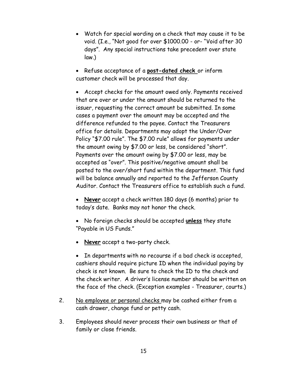Watch for special wording on a check that may cause it to be void. (I.e., "Not good for over \$1000.00 - or- "Void after 30 days". Any special instructions take precedent over state law.)

 Refuse acceptance of a **post-dated check** or inform customer check will be processed that day.

 Accept checks for the amount owed only. Payments received that are over or under the amount should be returned to the issuer, requesting the correct amount be submitted. In some cases a payment over the amount may be accepted and the difference refunded to the payee. Contact the Treasurers office for details. Departments may adopt the Under/Over Policy "\$7.00 rule". The \$7.00 rule" allows for payments under the amount owing by \$7.00 or less, be considered "short". Payments over the amount owing by \$7.00 or less, may be accepted as "over". This positive/negative amount shall be posted to the over/short fund within the department. This fund will be balance annually and reported to the Jefferson County Auditor. Contact the Treasurers office to establish such a fund.

 **Never** accept a check written 180 days (6 months) prior to today's date. Banks may not honor the check.

- No foreign checks should be accepted **unless** they state "Payable in US Funds."
- **Never** accept a two-party check.

• In departments with no recourse if a bad check is accepted, cashiers should require picture ID when the individual paying by check is not known. Be sure to check the ID to the check and the check writer. A driver's license number should be written on the face of the check. (Exception examples - Treasurer, courts.)

- 2. No employee or personal checks may be cashed either from a cash drawer, change fund or petty cash.
- 3. Employees should never process their own business or that of family or close friends.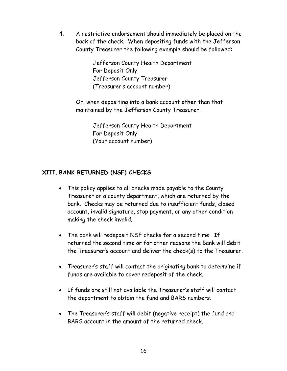4. A restrictive endorsement should immediately be placed on the back of the check. When depositing funds with the Jefferson County Treasurer the following example should be followed:

> Jefferson County Health Department For Deposit Only Jefferson County Treasurer (Treasurer's account number)

Or, when depositing into a bank account **other** than that maintained by the Jefferson County Treasurer:

> Jefferson County Health Department For Deposit Only (Your account number)

# **XIII. BANK RETURNED (NSF) CHECKS**

- This policy applies to all checks made payable to the County Treasurer or a county department, which are returned by the bank. Checks may be returned due to insufficient funds, closed account, invalid signature, stop payment, or any other condition making the check invalid.
- The bank will redeposit NSF checks for a second time. If returned the second time or for other reasons the Bank will debit the Treasurer's account and deliver the check(s) to the Treasurer.
- Treasurer's staff will contact the originating bank to determine if funds are available to cover redeposit of the check.
- If funds are still not available the Treasurer's staff will contact the department to obtain the fund and BARS numbers.
- The Treasurer's staff will debit (negative receipt) the fund and BARS account in the amount of the returned check.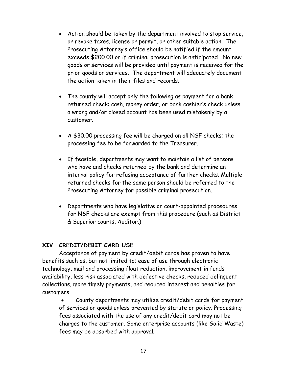- Action should be taken by the department involved to stop service, or revoke taxes, license or permit, or other suitable action. The Prosecuting Attorney's office should be notified if the amount exceeds \$200.00 or if criminal prosecution is anticipated. No new goods or services will be provided until payment is received for the prior goods or services. The department will adequately document the action taken in their files and records.
- The county will accept only the following as payment for a bank returned check: cash, money order, or bank cashier's check unless a wrong and/or closed account has been used mistakenly by a customer.
- A \$30.00 processing fee will be charged on all NSF checks; the processing fee to be forwarded to the Treasurer.
- If feasible, departments may want to maintain a list of persons who have and checks returned by the bank and determine an internal policy for refusing acceptance of further checks. Multiple returned checks for the same person should be referred to the Prosecuting Attorney for possible criminal prosecution.
- Departments who have legislative or court-appointed procedures for NSF checks are exempt from this procedure (such as District & Superior courts, Auditor.)

#### **XIV CREDIT/DEBIT CARD USE**

Acceptance of payment by credit/debit cards has proven to have benefits such as, but not limited to; ease of use through electronic technology, mail and processing float reduction, improvement in funds availability, less risk associated with defective checks, reduced delinquent collections, more timely payments, and reduced interest and penalties for customers.

 County departments may utilize credit/debit cards for payment of services or goods unless prevented by statute or policy. Processing fees associated with the use of any credit/debit card may not be charges to the customer. Some enterprise accounts (like Solid Waste) fees may be absorbed with approval.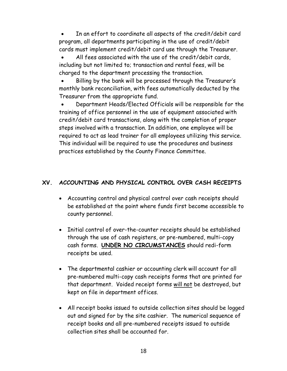In an effort to coordinate all aspects of the credit/debit card program, all departments participating in the use of credit/debit cards must implement credit/debit card use through the Treasurer.

 All fees associated with the use of the credit/debit cards, including but not limited to; transaction and rental fees, will be charged to the department processing the transaction.

 Billing by the bank will be processed through the Treasurer's monthly bank reconciliation, with fees automatically deducted by the Treasurer from the appropriate fund.

 Department Heads/Elected Officials will be responsible for the training of office personnel in the use of equipment associated with credit/debit card transactions, along with the completion of proper steps involved with a transaction. In addition, one employee will be required to act as lead trainer for all employees utilizing this service. This individual will be required to use the procedures and business practices established by the County Finance Committee.

# **XV. ACCOUNTING AND PHYSICAL CONTROL OVER CASH RECEIPTS**

- Accounting control and physical control over cash receipts should be established at the point where funds first become accessible to county personnel.
- Initial control of over-the-counter receipts should be established through the use of cash registers, or pre-numbered, multi-copy cash forms. **UNDER NO CIRCUMSTANCES** should redi-form receipts be used.
- The departmental cashier or accounting clerk will account for all pre-numbered multi-copy cash receipts forms that are printed for that department. Voided receipt forms will not be destroyed, but kept on file in department offices.
- All receipt books issued to outside collection sites should be logged out and signed for by the site cashier. The numerical sequence of receipt books and all pre-numbered receipts issued to outside collection sites shall be accounted for.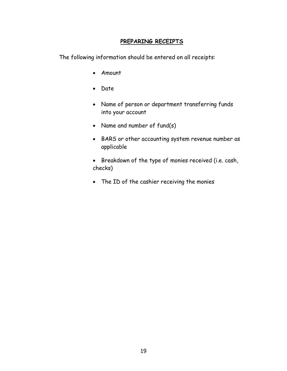#### **PREPARING RECEIPTS**

The following information should be entered on all receipts:

- Amount
- Date
- Name of person or department transferring funds into your account
- Name and number of fund(s)
- BARS or other accounting system revenue number as applicable
- Breakdown of the type of monies received (i.e. cash, checks)
- The ID of the cashier receiving the monies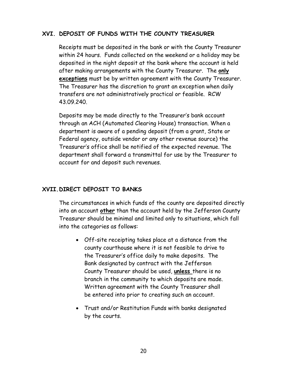#### **XVI. DEPOSIT OF FUNDS WITH THE COUNTY TREASURER**

Receipts must be deposited in the bank or with the County Treasurer within 24 hours. Funds collected on the weekend or a holiday may be deposited in the night deposit at the bank where the account is held after making arrangements with the County Treasurer. The **only exceptions** must be by written agreement with the County Treasurer. The Treasurer has the discretion to grant an exception when daily transfers are not administratively practical or feasible. RCW 43.09.240.

Deposits may be made directly to the Treasurer's bank account through an ACH (Automated Clearing House) transaction. When a department is aware of a pending deposit (from a grant, State or Federal agency, outside vendor or any other revenue source) the Treasurer's office shall be notified of the expected revenue. The department shall forward a transmittal for use by the Treasurer to account for and deposit such revenues.

#### **XVII.DIRECT DEPOSIT TO BANKS**

The circumstances in which funds of the county are deposited directly into an account **other** than the account held by the Jefferson County Treasurer should be minimal and limited only to situations, which fall into the categories as follows:

- Off-site receipting takes place at a distance from the county courthouse where it is not feasible to drive to the Treasurer's office daily to make deposits. The Bank designated by contract with the Jefferson County Treasurer should be used, **unless** there is no branch in the community to which deposits are made. Written agreement with the County Treasurer shall be entered into prior to creating such an account.
- Trust and/or Restitution Funds with banks designated by the courts.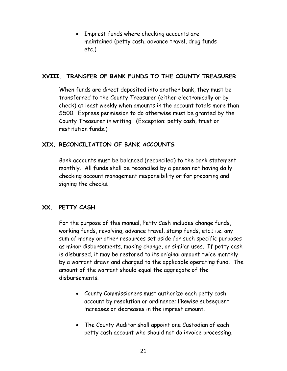• Imprest funds where checking accounts are maintained (petty cash, advance travel, drug funds etc.)

#### **XVIII. TRANSFER OF BANK FUNDS TO THE COUNTY TREASURER**

When funds are direct deposited into another bank, they must be transferred to the County Treasurer (either electronically or by check) at least weekly when amounts in the account totals more than \$500. Express permission to do otherwise must be granted by the County Treasurer in writing. (Exception: petty cash, trust or restitution funds.)

### **XIX. RECONCILIATION OF BANK ACCOUNTS**

Bank accounts must be balanced (reconciled) to the bank statement monthly. All funds shall be reconciled by a person not having daily checking account management responsibility or for preparing and signing the checks.

#### **XX. PETTY CASH**

For the purpose of this manual, Petty Cash includes change funds, working funds, revolving, advance travel, stamp funds, etc.; i.e. any sum of money or other resources set aside for such specific purposes as minor disbursements, making change, or similar uses. If petty cash is disbursed, it may be restored to its original amount twice monthly by a warrant drawn and charged to the applicable operating fund. The amount of the warrant should equal the aggregate of the disbursements.

- County Commissioners must authorize each petty cash account by resolution or ordinance; likewise subsequent increases or decreases in the imprest amount.
- The County Auditor shall appoint one Custodian of each petty cash account who should not do invoice processing,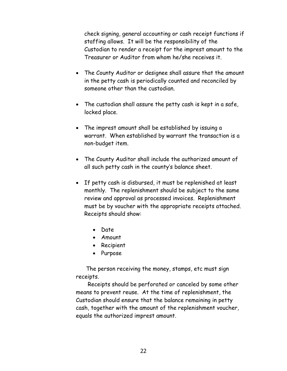check signing, general accounting or cash receipt functions if staffing allows. It will be the responsibility of the Custodian to render a receipt for the imprest amount to the Treasurer or Auditor from whom he/she receives it.

- The County Auditor or designee shall assure that the amount in the petty cash is periodically counted and reconciled by someone other than the custodian.
- The custodian shall assure the petty cash is kept in a safe, locked place.
- The imprest amount shall be established by issuing a warrant. When established by warrant the transaction is a non-budget item.
- The County Auditor shall include the authorized amount of all such petty cash in the county's balance sheet.
- If petty cash is disbursed, it must be replenished at least monthly. The replenishment should be subject to the same review and approval as processed invoices. Replenishment must be by voucher with the appropriate receipts attached. Receipts should show:
	- Date
	- Amount
	- Recipient
	- Purpose

 The person receiving the money, stamps, etc must sign receipts.

 Receipts should be perforated or canceled by some other means to prevent reuse. At the time of replenishment, the Custodian should ensure that the balance remaining in petty cash, together with the amount of the replenishment voucher, equals the authorized imprest amount.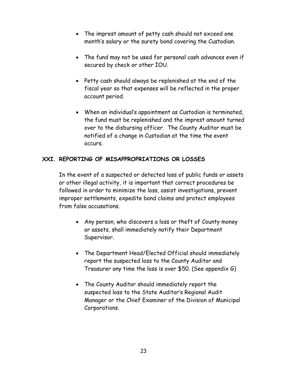- The imprest amount of petty cash should not exceed one month's salary or the surety bond covering the Custodian.
- The fund may not be used for personal cash advances even if secured by check or other IOU.
- Petty cash should always be replenished at the end of the fiscal year so that expenses will be reflected in the proper account period.
- When an individual's appointment as Custodian is terminated, the fund must be replenished and the imprest amount turned over to the disbursing officer. The County Auditor must be notified of a change in Custodian at the time the event occurs.

### **XXI. REPORTING OF MISAPPROPRIATIONS OR LOSSES**

In the event of a suspected or detected loss of public funds or assets or other illegal activity, it is important that correct procedures be followed in order to minimize the loss, assist investigations, prevent improper settlements, expedite bond claims and protect employees from false accusations.

- Any person, who discovers a loss or theft of County money or assets, shall immediately notify their Department Supervisor.
- The Department Head/Elected Official should immediately report the suspected loss to the County Auditor and Treasurer any time the loss is over \$50. (See appendix G)
- The County Auditor should immediately report the suspected loss to the State Auditor's Regional Audit Manager or the Chief Examiner of the Division of Municipal Corporations.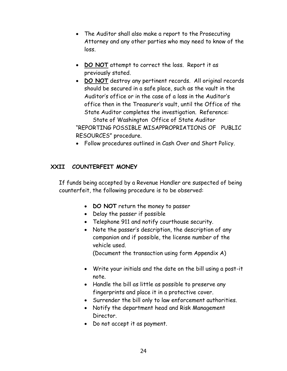- The Auditor shall also make a report to the Prosecuting Attorney and any other parties who may need to know of the loss.
- **DO NOT** attempt to correct the loss. Report it as previously stated.
- **DO NOT** destroy any pertinent records. All original records should be secured in a safe place, such as the vault in the Auditor's office or in the case of a loss in the Auditor's office then in the Treasurer's vault, until the Office of the State Auditor completes the investigation. Reference:

State of Washington Office of State Auditor "REPORTING POSSIBLE MISAPPROPRIATIONS OF PUBLIC RESOURCES" procedure.

Follow procedures outlined in Cash Over and Short Policy.

### **XXII COUNTERFEIT MONEY**

If funds being accepted by a Revenue Handler are suspected of being counterfeit, the following procedure is to be observed:

- **DO NOT** return the money to passer
- Delay the passer if possible
- Telephone 911 and notify courthouse security.
- Note the passer's description, the description of any companion and if possible, the license number of the vehicle used.

(Document the transaction using form Appendix A)

- Write your initials and the date on the bill using a post-it note.
- Handle the bill as little as possible to preserve any fingerprints and place it in a protective cover.
- Surrender the bill only to law enforcement authorities.
- Notify the department head and Risk Management Director.
- Do not accept it as payment.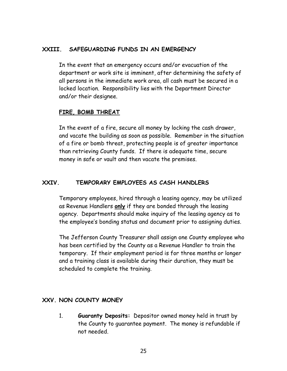#### **XXIII. SAFEGUARDING FUNDS IN AN EMERGENCY**

In the event that an emergency occurs and/or evacuation of the department or work site is imminent, after determining the safety of all persons in the immediate work area, all cash must be secured in a locked location. Responsibility lies with the Department Director and/or their designee.

#### **FIRE, BOMB THREAT**

In the event of a fire, secure all money by locking the cash drawer, and vacate the building as soon as possible. Remember in the situation of a fire or bomb threat, protecting people is of greater importance than retrieving County funds. If there is adequate time, secure money in safe or vault and then vacate the premises.

#### **XXIV. TEMPORARY EMPLOYEES AS CASH HANDLERS**

Temporary employees, hired through a leasing agency, may be utilized as Revenue Handlers **only** if they are bonded through the leasing agency. Departments should make inquiry of the leasing agency as to the employee's bonding status and document prior to assigning duties.

The Jefferson County Treasurer shall assign one County employee who has been certified by the County as a Revenue Handler to train the temporary. If their employment period is for three months or longer and a training class is available during their duration, they must be scheduled to complete the training.

#### **XXV. NON COUNTY MONEY**

1. **Guaranty Deposits:** Depositor owned money held in trust by the County to guarantee payment. The money is refundable if not needed.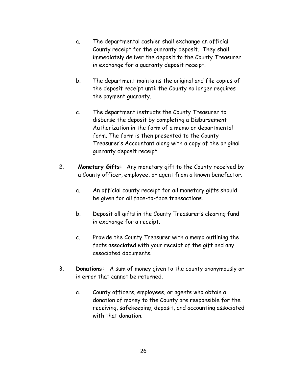- a. The departmental cashier shall exchange an official County receipt for the guaranty deposit. They shall immediately deliver the deposit to the County Treasurer in exchange for a guaranty deposit receipt.
- b. The department maintains the original and file copies of the deposit receipt until the County no longer requires the payment guaranty.
- c. The department instructs the County Treasurer to disburse the deposit by completing a Disbursement Authorization in the form of a memo or departmental form. The form is then presented to the County Treasurer's Accountant along with a copy of the original guaranty deposit receipt.
- 2. **Monetary Gifts:** Any monetary gift to the County received by a County officer, employee, or agent from a known benefactor.
	- a. An official county receipt for all monetary gifts should be given for all face-to-face transactions.
	- b. Deposit all gifts in the County Treasurer's clearing fund in exchange for a receipt.
	- c. Provide the County Treasurer with a memo outlining the facts associated with your receipt of the gift and any associated documents.
- 3. **Donations:** A sum of money given to the county anonymously or in error that cannot be returned.
	- a. County officers, employees, or agents who obtain a donation of money to the County are responsible for the receiving, safekeeping, deposit, and accounting associated with that donation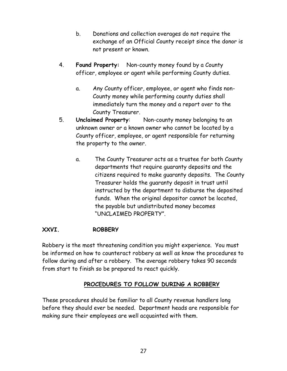- b. Donations and collection overages do not require the exchange of an Official County receipt since the donor is not present or known.
- 4. **Found Property:** Non-county money found by a County officer, employee or agent while performing County duties.
	- a. Any County officer, employee, or agent who finds non-County money while performing county duties shall immediately turn the money and a report over to the County Treasurer.
- 5. **Unclaimed Property**: Non-county money belonging to an unknown owner or a known owner who cannot be located by a County officer, employee, or agent responsible for returning the property to the owner.
	- a. The County Treasurer acts as a trustee for both County departments that require guaranty deposits and the citizens required to make guaranty deposits. The County Treasurer holds the guaranty deposit in trust until instructed by the department to disburse the deposited funds. When the original depositor cannot be located, the payable but undistributed money becomes "UNCLAIMED PROPERTY".

#### **XXVI. ROBBERY**

Robbery is the most threatening condition you might experience. You must be informed on how to counteract robbery as well as know the procedures to follow during and after a robbery. The average robbery takes 90 seconds from start to finish so be prepared to react quickly.

#### **PROCEDURES TO FOLLOW DURING A ROBBERY**

These procedures should be familiar to all County revenue handlers long before they should ever be needed. Department heads are responsible for making sure their employees are well acquainted with them.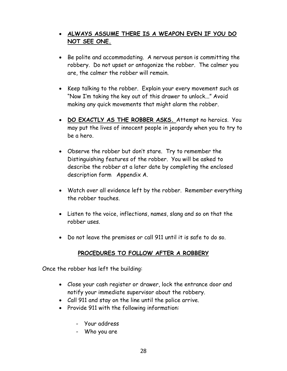# **ALWAYS ASSUME THERE IS A WEAPON EVEN IF YOU DO NOT SEE ONE.**

- Be polite and accommodating. A nervous person is committing the robbery. Do not upset or antagonize the robber. The calmer you are, the calmer the robber will remain.
- Keep talking to the robber. Explain your every movement such as "Now I'm taking the key out of this drawer to unlock..." Avoid making any quick movements that might alarm the robber.
- **DO EXACTLY AS THE ROBBER ASKS.** Attempt no heroics. You may put the lives of innocent people in jeopardy when you to try to be a hero.
- Observe the robber but don't stare. Try to remember the Distinguishing features of the robber. You will be asked to describe the robber at a later date by completing the enclosed description form Appendix A.
- Watch over all evidence left by the robber. Remember everything the robber touches.
- Listen to the voice, inflections, names, slang and so on that the robber uses.
- Do not leave the premises or call 911 until it is safe to do so.

# **PROCEDURES TO FOLLOW AFTER A ROBBERY**

Once the robber has left the building:

- Close your cash register or drawer, lock the entrance door and notify your immediate supervisor about the robbery.
- Call 911 and stay on the line until the police arrive.
- Provide 911 with the following information:
	- Your address
	- Who you are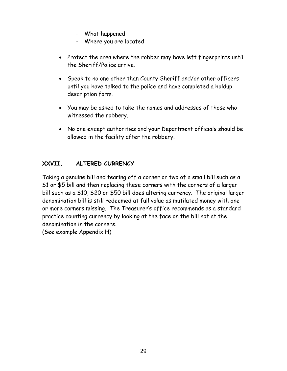- What happened
- Where you are located
- Protect the area where the robber may have left fingerprints until the Sheriff/Police arrive.
- Speak to no one other than County Sheriff and/or other officers until you have talked to the police and have completed a holdup description form.
- You may be asked to take the names and addresses of those who witnessed the robbery.
- No one except authorities and your Department officials should be allowed in the facility after the robbery.

### **XXVII. ALTERED CURRENCY**

Taking a genuine bill and tearing off a corner or two of a small bill such as a \$1 or \$5 bill and then replacing these corners with the corners of a larger bill such as a \$10, \$20 or \$50 bill does altering currency. The original larger denomination bill is still redeemed at full value as mutilated money with one or more corners missing. The Treasurer's office recommends as a standard practice counting currency by looking at the face on the bill not at the denomination in the corners.

(See example Appendix H)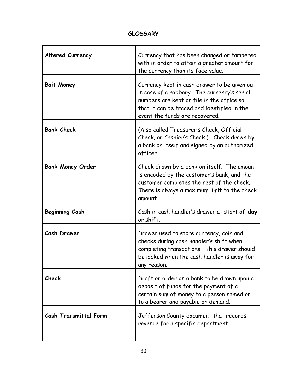### **GLOSSARY**

| <b>Altered Currency</b>      | Currency that has been changed or tampered<br>with in order to attain a greater amount for<br>the currency than its face value.                                                                                           |
|------------------------------|---------------------------------------------------------------------------------------------------------------------------------------------------------------------------------------------------------------------------|
| <b>Bait Money</b>            | Currency kept in cash drawer to be given out<br>in case of a robbery. The currency's serial<br>numbers are kept on file in the office so<br>that it can be traced and identified in the<br>event the funds are recovered. |
| <b>Bank Check</b>            | (Also called Treasurer's Check, Official<br>Check, or Cashier's Check.) Check drawn by<br>a bank on itself and signed by an authorized<br>officer.                                                                        |
| <b>Bank Money Order</b>      | Check drawn by a bank on itself. The amount<br>is encoded by the customer's bank, and the<br>customer completes the rest of the check.<br>There is always a maximum limit to the check<br>amount.                         |
| <b>Beginning Cash</b>        | Cash in cash handler's drawer at start of day<br>or shift.                                                                                                                                                                |
| Cash Drawer                  | Drawer used to store currency, coin and<br>checks during cash handler's shift when<br>completing transactions. This drawer should<br>be locked when the cash handler is away for<br>any reason.                           |
| Check                        | Draft or order on a bank to be drawn upon a<br>deposit of funds for the payment of a<br>certain sum of money to a person named or<br>to a bearer and payable on demand.                                                   |
| <b>Cash Transmittal Form</b> | Jefferson County document that records<br>revenue for a specific department.                                                                                                                                              |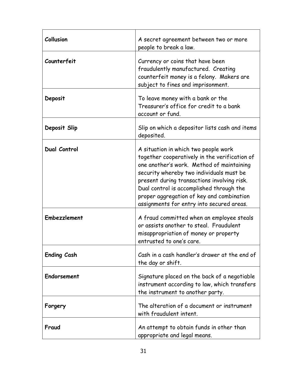| Collusion           | A secret agreement between two or more<br>people to break a law.                                                                                                                                                                                                                                                                                                    |
|---------------------|---------------------------------------------------------------------------------------------------------------------------------------------------------------------------------------------------------------------------------------------------------------------------------------------------------------------------------------------------------------------|
| Counterfeit         | Currency or coins that have been<br>fraudulently manufactured. Creating<br>counterfeit money is a felony. Makers are<br>subject to fines and imprisonment.                                                                                                                                                                                                          |
| Deposit             | To leave money with a bank or the<br>Treasurer's office for credit to a bank<br>account or fund.                                                                                                                                                                                                                                                                    |
| Deposit Slip        | Slip on which a depositor lists cash and items<br>deposited.                                                                                                                                                                                                                                                                                                        |
| <b>Dual Control</b> | A situation in which two people work<br>together cooperatively in the verification of<br>one another's work. Method of maintaining<br>security whereby two individuals must be<br>present during transactions involving risk.<br>Dual control is accomplished through the<br>proper aggregation of key and combination<br>assignments for entry into secured areas. |
| <b>Embezzlement</b> | A fraud committed when an employee steals<br>or assists another to steal. Fraudulent<br>misappropriation of money or property<br>entrusted to one's care.                                                                                                                                                                                                           |
| <b>Ending Cash</b>  | Cash in a cash handler's drawer at the end of<br>the day or shift.                                                                                                                                                                                                                                                                                                  |
| Endorsement         | Signature placed on the back of a negotiable<br>instrument according to law, which transfers<br>the instrument to another party.                                                                                                                                                                                                                                    |
| Forgery             | The alteration of a document or instrument<br>with fraudulent intent.                                                                                                                                                                                                                                                                                               |
| Fraud               | An attempt to obtain funds in other than<br>appropriate and legal means.                                                                                                                                                                                                                                                                                            |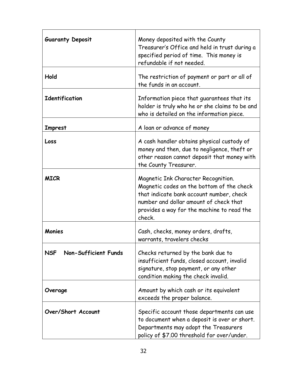| <b>Guaranty Deposit</b>            | Money deposited with the County<br>Treasurer's Office and held in trust during a<br>specified period of time. This money is<br>refundable if not needed.                                                                       |
|------------------------------------|--------------------------------------------------------------------------------------------------------------------------------------------------------------------------------------------------------------------------------|
| Hold                               | The restriction of payment or part or all of<br>the funds in an account.                                                                                                                                                       |
| <b>Identification</b>              | Information piece that guarantees that its<br>holder is truly who he or she claims to be and<br>who is detailed on the information piece.                                                                                      |
| <b>Imprest</b>                     | A loan or advance of money                                                                                                                                                                                                     |
| Loss                               | A cash handler obtains physical custody of<br>money and then, due to negligence, theft or<br>other reason cannot deposit that money with<br>the County Treasurer.                                                              |
| <b>MICR</b>                        | Magnetic Ink Character Recognition.<br>Magnetic codes on the bottom of the check<br>that indicate bank account number, check<br>number and dollar amount of check that<br>provides a way for the machine to read the<br>check. |
| Monies                             | Cash, checks, money orders, drafts,<br>warrants, travelers checks                                                                                                                                                              |
| <b>NSF</b><br>Non-Sufficient Funds | Checks returned by the bank due to<br>insufficient funds, closed account, invalid<br>signature, stop payment, or any other<br>condition making the check invalid.                                                              |
| Overage                            | Amount by which cash or its equivalent<br>exceeds the proper balance.                                                                                                                                                          |
| Over/Short Account                 | Specific account those departments can use<br>to document when a deposit is over or short.<br>Departments may adopt the Treasurers<br>policy of \$7.00 threshold for over/under.                                               |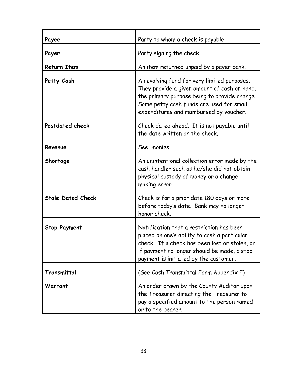| Payee                    | Party to whom a check is payable                                                                                                                                                                                                   |
|--------------------------|------------------------------------------------------------------------------------------------------------------------------------------------------------------------------------------------------------------------------------|
| Payer                    | Party signing the check.                                                                                                                                                                                                           |
| <b>Return Item</b>       | An item returned unpaid by a payer bank.                                                                                                                                                                                           |
| Petty Cash               | A revolving fund for very limited purposes.<br>They provide a given amount of cash on hand,<br>the primary purpose being to provide change.<br>Some petty cash funds are used for small<br>expenditures and reimbursed by voucher. |
| Postdated check          | Check dated ahead. It is not payable until<br>the date written on the check.                                                                                                                                                       |
| Revenue                  | See monies                                                                                                                                                                                                                         |
| Shortage                 | An unintentional collection error made by the<br>cash handler such as he/she did not obtain<br>physical custody of money or a change<br>making error.                                                                              |
| <b>Stale Dated Check</b> | Check is for a prior date 180 days or more<br>before today's date. Bank may no longer<br>honor check.                                                                                                                              |
| <b>Stop Payment</b>      | Notification that a restriction has been<br>placed on one's ability to cash a particular<br>check. If a check has been lost or stolen, or<br>if payment no longer should be made, a stop<br>payment is initiated by the customer.  |
| Transmittal              | (See Cash Transmittal Form Appendix F)                                                                                                                                                                                             |
| Warrant                  | An order drawn by the County Auditor upon<br>the Treasurer directing the Treasurer to<br>pay a specified amount to the person named<br>or to the bearer.                                                                           |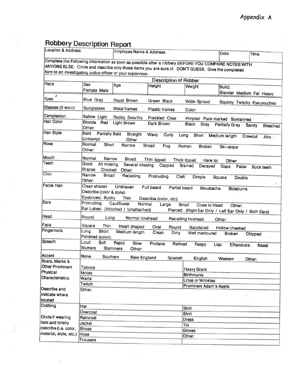# **Robbery Description Report**

| <b>Location &amp; Address</b> |                                                              | Employee Name & Address                                     |                                                                                                      |                                                                                 | Date                     | Time                        |  |  |
|-------------------------------|--------------------------------------------------------------|-------------------------------------------------------------|------------------------------------------------------------------------------------------------------|---------------------------------------------------------------------------------|--------------------------|-----------------------------|--|--|
|                               |                                                              |                                                             | Complete the Following information as soon as possible after a robbery BEFORE YOU COMPARE NOTES WITH |                                                                                 |                          |                             |  |  |
|                               |                                                              |                                                             | ANYONE ELSE. Circle and describe only those items you are sure of. DON'T GUESS. Give the completed   |                                                                                 |                          |                             |  |  |
|                               |                                                              | form to an investigating police officer or your supervisor. |                                                                                                      |                                                                                 |                          |                             |  |  |
|                               |                                                              |                                                             | <b>Description of Robber</b>                                                                         |                                                                                 |                          |                             |  |  |
| Race                          | Sex                                                          | Age                                                         | Height                                                                                               |                                                                                 |                          |                             |  |  |
|                               | Female Male                                                  |                                                             |                                                                                                      | Weight                                                                          | Bulld:                   |                             |  |  |
| ×                             |                                                              |                                                             |                                                                                                      |                                                                                 | Slender Medium Fat Heavy |                             |  |  |
| Eyes                          | <b>Blue Gray</b>                                             | Hazel Brown                                                 | Green Black                                                                                          | Wide-Spread                                                                     |                          | Squinty Twitchy Eye pouches |  |  |
| Glasses (if worn)             | Sunglasses                                                   | Metal frames                                                | Plastic frames                                                                                       | Color:                                                                          |                          |                             |  |  |
| Complexion                    | Sallow Light                                                 | Ruddy Swarthy                                               | Freckled Clear                                                                                       | Pimpled Pock marked Suntanned                                                   |                          |                             |  |  |
| Halr Color                    | <b>Blonde</b><br>Red<br>Other:                               | Light Brown                                                 | Dark Brown                                                                                           | Black<br>Gray                                                                   | <b>Partially Gray</b>    | Sandy<br>Bleached           |  |  |
| Hair Style                    | Baid<br><b>Partially Bald</b><br>Unkempt                     | Straight<br>Other                                           | Wavy<br>Curly                                                                                        | Long<br>Short                                                                   | Medium length            | Crewcut<br>Afro.            |  |  |
| <b>Nose</b>                   | Normal<br>Short<br>Other:                                    | Narrow                                                      | <b>Broad</b><br>Pug                                                                                  | Roman<br><b>Broken</b>                                                          | Ski-slope                |                             |  |  |
| Mouth                         | Normal<br>Narrow                                             | <b>Broad</b>                                                | Thin lipped                                                                                          | Thick lipped<br>Hare lip                                                        |                          |                             |  |  |
| <b>Teeth</b>                  | Good<br>All missing<br><b>Braces</b><br>Crooked              | Several missing<br>Other:                                   | Capped                                                                                               | Stained<br>Decayed                                                              | Other:<br>Gaps<br>False  | <b>Buck teeth</b>           |  |  |
| Chin                          | Narrow<br><b>Broad</b><br>Other:                             | Receding                                                    | Protruding<br>Cleft                                                                                  | Dimple                                                                          | Square<br>Double         |                             |  |  |
| <b>Facial Hair</b>            | Clean shaven<br>Describe (color & style):<br>Eyebrows: Bushy | Unshaven<br>Thin                                            | Full beard<br>Partial beard<br>Describe (color, etc):                                                | Moustache                                                                       | Sideburns                |                             |  |  |
| Ears                          | Protruding                                                   | Cauliflower<br>Normal<br>Ear Lobes: (Attached / Unattached) | Large                                                                                                | Small<br>Close to Head<br>Pierced: (Right Ear Only / Left Ear Only / Both Ears) | Other:                   |                             |  |  |
| Head                          | Round<br>Long                                                | Normal forehead                                             |                                                                                                      | Receding forehead                                                               | Other:                   |                             |  |  |
| Face                          | Square<br><b>Thin</b>                                        | Heart shaped                                                | Oval<br>Round                                                                                        | Babyfaced                                                                       | <b>Hollow cheeked</b>    |                             |  |  |
| Fingernails                   | Long<br>Short<br>Polished (color):                           | Medium length                                               | Clean<br><b>Dirty</b>                                                                                | Well manicured                                                                  | <b>Broken</b>            | Chipped                     |  |  |
| Speech                        | Loud<br>Soft<br><b>Stutters</b>                              | Rapid<br>Slow<br><b>Stammers</b><br>Other:                  | Profane<br>Refined                                                                                   | Raspy                                                                           | Lisp<br>Effeminate       | <b>Nasal</b>                |  |  |
| Accent                        | None                                                         | Southern<br>New England                                     | Spanish                                                                                              | English                                                                         |                          |                             |  |  |
| Scars, Marks &                |                                                              |                                                             |                                                                                                      |                                                                                 | Western                  | Other:                      |  |  |
| Other Prominent               | Tattoos                                                      |                                                             |                                                                                                      | <b>Heavy Scars</b>                                                              |                          |                             |  |  |
| Physical                      | Moles                                                        |                                                             |                                                                                                      | <b>Birthmarks</b>                                                               |                          |                             |  |  |
| Characteristics               | Warts                                                        |                                                             |                                                                                                      | Lines or Wrinkles                                                               |                          |                             |  |  |
|                               | Twitch                                                       |                                                             |                                                                                                      | Prominent Adam's Apple                                                          |                          |                             |  |  |
| Describe and                  | Other:                                                       |                                                             |                                                                                                      |                                                                                 |                          |                             |  |  |
| indicate where<br>located     |                                                              |                                                             |                                                                                                      |                                                                                 |                          |                             |  |  |
| Clothing                      | Hat                                                          |                                                             |                                                                                                      | <b>Skirt</b>                                                                    |                          |                             |  |  |
|                               | Overcoat                                                     |                                                             |                                                                                                      | Shirt                                                                           |                          |                             |  |  |
| Circle if wearing             | Raincoat                                                     |                                                             |                                                                                                      |                                                                                 |                          |                             |  |  |
| tem and briefly               | Jacket                                                       |                                                             |                                                                                                      | <b>Dress</b>                                                                    |                          |                             |  |  |
| describe (i.e. color,         | <b>Shoes</b>                                                 |                                                             | Tie                                                                                                  |                                                                                 |                          |                             |  |  |
|                               |                                                              |                                                             |                                                                                                      |                                                                                 |                          |                             |  |  |
| material, style, etc.) Hose   |                                                              |                                                             |                                                                                                      | Gloves<br>Other:                                                                |                          |                             |  |  |

 $\tilde{\nu}$ 

 $\widetilde{\epsilon}^{\rm G}_{\rm E}$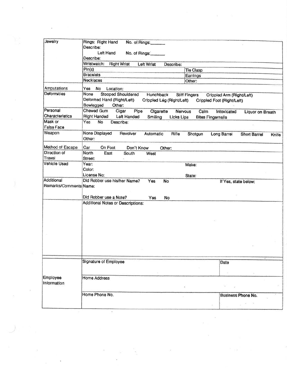| Rings: Right Hand<br>No. of Rings:<br>Describe:<br>Left Hand<br>No. of Rings:<br>Describe:<br><b>Right Wrist</b><br>Wristwatch:<br><b>Left Wrist</b><br>Describe:<br>Pin(s)<br>Tie Clasp<br><b>Bracelets</b><br>Earrings<br><b>Necklaces</b><br>Other:<br>Amputations<br>Yes<br><b>No</b><br>Location:<br>Deformities<br><b>Stooped Shouldered</b><br>None<br>Hunchback<br><b>Stiff Fingers</b><br>Crippled Arm (Right/Left)<br>Deformed Hand (Right/Left)<br>Crippled Leg (Right/Left)<br>Crippled Foot (Right/Left)<br>Bowlegged<br>Other:<br>Chewed Gum<br>Pipe<br>Cigar<br>Cigarette<br><b>Nervous</b><br>Calm<br>Intoxicated<br><b>Liquor on Breath</b><br><b>Characteristics</b><br><b>Right Handed</b><br><b>Left Handed</b><br>Smiling<br>Licks Lips<br><b>Bites Fingernalls</b><br>Yes<br><b>No</b><br>Describe:<br>False Face<br>None Displayed<br>Revolver<br>Automatic<br>Rifle<br>Shotgun<br>Long Barrel<br><b>Short Barrel</b><br>Knife<br>Other:<br>Method of Escape<br>Car<br>On Foot<br>Don't Know<br>Other:<br>Direction of<br><b>North</b><br>East<br>South<br>West<br>Street:<br><b>Vehicle Used</b><br>Year:<br>Make:<br>Color:<br>License No:<br>State:<br>Did Robber use his/her Name?<br>Yes<br><b>No</b><br>If Yes, state below:<br>Remarks/Comments Name: |                                                                                    |
|-------------------------------------------------------------------------------------------------------------------------------------------------------------------------------------------------------------------------------------------------------------------------------------------------------------------------------------------------------------------------------------------------------------------------------------------------------------------------------------------------------------------------------------------------------------------------------------------------------------------------------------------------------------------------------------------------------------------------------------------------------------------------------------------------------------------------------------------------------------------------------------------------------------------------------------------------------------------------------------------------------------------------------------------------------------------------------------------------------------------------------------------------------------------------------------------------------------------------------------------------------------------------------------|------------------------------------------------------------------------------------|
|                                                                                                                                                                                                                                                                                                                                                                                                                                                                                                                                                                                                                                                                                                                                                                                                                                                                                                                                                                                                                                                                                                                                                                                                                                                                                     |                                                                                    |
|                                                                                                                                                                                                                                                                                                                                                                                                                                                                                                                                                                                                                                                                                                                                                                                                                                                                                                                                                                                                                                                                                                                                                                                                                                                                                     |                                                                                    |
|                                                                                                                                                                                                                                                                                                                                                                                                                                                                                                                                                                                                                                                                                                                                                                                                                                                                                                                                                                                                                                                                                                                                                                                                                                                                                     |                                                                                    |
|                                                                                                                                                                                                                                                                                                                                                                                                                                                                                                                                                                                                                                                                                                                                                                                                                                                                                                                                                                                                                                                                                                                                                                                                                                                                                     |                                                                                    |
|                                                                                                                                                                                                                                                                                                                                                                                                                                                                                                                                                                                                                                                                                                                                                                                                                                                                                                                                                                                                                                                                                                                                                                                                                                                                                     |                                                                                    |
|                                                                                                                                                                                                                                                                                                                                                                                                                                                                                                                                                                                                                                                                                                                                                                                                                                                                                                                                                                                                                                                                                                                                                                                                                                                                                     |                                                                                    |
|                                                                                                                                                                                                                                                                                                                                                                                                                                                                                                                                                                                                                                                                                                                                                                                                                                                                                                                                                                                                                                                                                                                                                                                                                                                                                     |                                                                                    |
|                                                                                                                                                                                                                                                                                                                                                                                                                                                                                                                                                                                                                                                                                                                                                                                                                                                                                                                                                                                                                                                                                                                                                                                                                                                                                     |                                                                                    |
|                                                                                                                                                                                                                                                                                                                                                                                                                                                                                                                                                                                                                                                                                                                                                                                                                                                                                                                                                                                                                                                                                                                                                                                                                                                                                     |                                                                                    |
|                                                                                                                                                                                                                                                                                                                                                                                                                                                                                                                                                                                                                                                                                                                                                                                                                                                                                                                                                                                                                                                                                                                                                                                                                                                                                     |                                                                                    |
|                                                                                                                                                                                                                                                                                                                                                                                                                                                                                                                                                                                                                                                                                                                                                                                                                                                                                                                                                                                                                                                                                                                                                                                                                                                                                     |                                                                                    |
|                                                                                                                                                                                                                                                                                                                                                                                                                                                                                                                                                                                                                                                                                                                                                                                                                                                                                                                                                                                                                                                                                                                                                                                                                                                                                     |                                                                                    |
|                                                                                                                                                                                                                                                                                                                                                                                                                                                                                                                                                                                                                                                                                                                                                                                                                                                                                                                                                                                                                                                                                                                                                                                                                                                                                     |                                                                                    |
|                                                                                                                                                                                                                                                                                                                                                                                                                                                                                                                                                                                                                                                                                                                                                                                                                                                                                                                                                                                                                                                                                                                                                                                                                                                                                     |                                                                                    |
|                                                                                                                                                                                                                                                                                                                                                                                                                                                                                                                                                                                                                                                                                                                                                                                                                                                                                                                                                                                                                                                                                                                                                                                                                                                                                     |                                                                                    |
|                                                                                                                                                                                                                                                                                                                                                                                                                                                                                                                                                                                                                                                                                                                                                                                                                                                                                                                                                                                                                                                                                                                                                                                                                                                                                     |                                                                                    |
|                                                                                                                                                                                                                                                                                                                                                                                                                                                                                                                                                                                                                                                                                                                                                                                                                                                                                                                                                                                                                                                                                                                                                                                                                                                                                     |                                                                                    |
|                                                                                                                                                                                                                                                                                                                                                                                                                                                                                                                                                                                                                                                                                                                                                                                                                                                                                                                                                                                                                                                                                                                                                                                                                                                                                     |                                                                                    |
|                                                                                                                                                                                                                                                                                                                                                                                                                                                                                                                                                                                                                                                                                                                                                                                                                                                                                                                                                                                                                                                                                                                                                                                                                                                                                     |                                                                                    |
|                                                                                                                                                                                                                                                                                                                                                                                                                                                                                                                                                                                                                                                                                                                                                                                                                                                                                                                                                                                                                                                                                                                                                                                                                                                                                     |                                                                                    |
|                                                                                                                                                                                                                                                                                                                                                                                                                                                                                                                                                                                                                                                                                                                                                                                                                                                                                                                                                                                                                                                                                                                                                                                                                                                                                     |                                                                                    |
|                                                                                                                                                                                                                                                                                                                                                                                                                                                                                                                                                                                                                                                                                                                                                                                                                                                                                                                                                                                                                                                                                                                                                                                                                                                                                     |                                                                                    |
| Did Robber use a Note?<br><b>Yes</b><br><b>No</b>                                                                                                                                                                                                                                                                                                                                                                                                                                                                                                                                                                                                                                                                                                                                                                                                                                                                                                                                                                                                                                                                                                                                                                                                                                   |                                                                                    |
| <b>Additional Notes or Descriptions:</b>                                                                                                                                                                                                                                                                                                                                                                                                                                                                                                                                                                                                                                                                                                                                                                                                                                                                                                                                                                                                                                                                                                                                                                                                                                            |                                                                                    |
|                                                                                                                                                                                                                                                                                                                                                                                                                                                                                                                                                                                                                                                                                                                                                                                                                                                                                                                                                                                                                                                                                                                                                                                                                                                                                     |                                                                                    |
|                                                                                                                                                                                                                                                                                                                                                                                                                                                                                                                                                                                                                                                                                                                                                                                                                                                                                                                                                                                                                                                                                                                                                                                                                                                                                     |                                                                                    |
|                                                                                                                                                                                                                                                                                                                                                                                                                                                                                                                                                                                                                                                                                                                                                                                                                                                                                                                                                                                                                                                                                                                                                                                                                                                                                     |                                                                                    |
|                                                                                                                                                                                                                                                                                                                                                                                                                                                                                                                                                                                                                                                                                                                                                                                                                                                                                                                                                                                                                                                                                                                                                                                                                                                                                     |                                                                                    |
|                                                                                                                                                                                                                                                                                                                                                                                                                                                                                                                                                                                                                                                                                                                                                                                                                                                                                                                                                                                                                                                                                                                                                                                                                                                                                     |                                                                                    |
|                                                                                                                                                                                                                                                                                                                                                                                                                                                                                                                                                                                                                                                                                                                                                                                                                                                                                                                                                                                                                                                                                                                                                                                                                                                                                     |                                                                                    |
|                                                                                                                                                                                                                                                                                                                                                                                                                                                                                                                                                                                                                                                                                                                                                                                                                                                                                                                                                                                                                                                                                                                                                                                                                                                                                     |                                                                                    |
|                                                                                                                                                                                                                                                                                                                                                                                                                                                                                                                                                                                                                                                                                                                                                                                                                                                                                                                                                                                                                                                                                                                                                                                                                                                                                     |                                                                                    |
| Signature of Employee                                                                                                                                                                                                                                                                                                                                                                                                                                                                                                                                                                                                                                                                                                                                                                                                                                                                                                                                                                                                                                                                                                                                                                                                                                                               |                                                                                    |
|                                                                                                                                                                                                                                                                                                                                                                                                                                                                                                                                                                                                                                                                                                                                                                                                                                                                                                                                                                                                                                                                                                                                                                                                                                                                                     |                                                                                    |
|                                                                                                                                                                                                                                                                                                                                                                                                                                                                                                                                                                                                                                                                                                                                                                                                                                                                                                                                                                                                                                                                                                                                                                                                                                                                                     |                                                                                    |
|                                                                                                                                                                                                                                                                                                                                                                                                                                                                                                                                                                                                                                                                                                                                                                                                                                                                                                                                                                                                                                                                                                                                                                                                                                                                                     |                                                                                    |
|                                                                                                                                                                                                                                                                                                                                                                                                                                                                                                                                                                                                                                                                                                                                                                                                                                                                                                                                                                                                                                                                                                                                                                                                                                                                                     |                                                                                    |
|                                                                                                                                                                                                                                                                                                                                                                                                                                                                                                                                                                                                                                                                                                                                                                                                                                                                                                                                                                                                                                                                                                                                                                                                                                                                                     |                                                                                    |
|                                                                                                                                                                                                                                                                                                                                                                                                                                                                                                                                                                                                                                                                                                                                                                                                                                                                                                                                                                                                                                                                                                                                                                                                                                                                                     |                                                                                    |
|                                                                                                                                                                                                                                                                                                                                                                                                                                                                                                                                                                                                                                                                                                                                                                                                                                                                                                                                                                                                                                                                                                                                                                                                                                                                                     |                                                                                    |
|                                                                                                                                                                                                                                                                                                                                                                                                                                                                                                                                                                                                                                                                                                                                                                                                                                                                                                                                                                                                                                                                                                                                                                                                                                                                                     |                                                                                    |
|                                                                                                                                                                                                                                                                                                                                                                                                                                                                                                                                                                                                                                                                                                                                                                                                                                                                                                                                                                                                                                                                                                                                                                                                                                                                                     |                                                                                    |
|                                                                                                                                                                                                                                                                                                                                                                                                                                                                                                                                                                                                                                                                                                                                                                                                                                                                                                                                                                                                                                                                                                                                                                                                                                                                                     |                                                                                    |
|                                                                                                                                                                                                                                                                                                                                                                                                                                                                                                                                                                                                                                                                                                                                                                                                                                                                                                                                                                                                                                                                                                                                                                                                                                                                                     | Date<br><b>Home Address</b><br>Information<br>Home Phone No.<br>Business Phone No. |

 $\label{eq:2.1} \mathbf{w} = \mathbf{w} \cdot \mathbf{w} + \mathbf{w} \cdot \mathbf{w} + \mathbf{w} \cdot \mathbf{w} + \mathbf{w} \cdot \mathbf{w} + \mathbf{w} \cdot \mathbf{w} + \mathbf{w} \cdot \mathbf{w} + \mathbf{w} \cdot \mathbf{w} + \mathbf{w} \cdot \mathbf{w} + \mathbf{w} \cdot \mathbf{w} + \mathbf{w} \cdot \mathbf{w} + \mathbf{w} \cdot \mathbf{w} + \mathbf{w} \cdot \mathbf{w} + \mathbf{w} \cdot \mathbf{w} + \mathbf{w} \cdot \$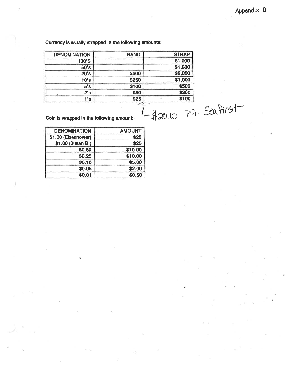#### Currency is usually strapped in the following amounts:

|                          | <b>STRAP</b> | <b>BAND</b> | <b>DENOMINATION</b>                      |
|--------------------------|--------------|-------------|------------------------------------------|
|                          | \$1,000      |             | 100'S                                    |
|                          | \$1,000      |             | 50's                                     |
|                          | \$2,000      | \$500       | 20's                                     |
|                          | \$1,000      | \$250       | 10's                                     |
|                          | \$500        | \$100       | 5's                                      |
|                          | \$200        | \$50        | 2's                                      |
|                          | \$100        | \$25        | 1's                                      |
| $-420.00$ $77.$ Seafirst |              |             | Coin is wrapped in the following amount: |

| <b>AMOUNT</b> | <b>DENOMINATION</b> |
|---------------|---------------------|
| \$20          | \$1.00 (Eisenhower) |
| \$25          | \$1.00 (Susan B.)   |
| \$10.00       | \$0.50              |
| \$10.00       | \$0.25              |
| \$5.00        | \$0.10              |
| \$2.00        | \$0.05              |
| \$0.50        | \$0.01              |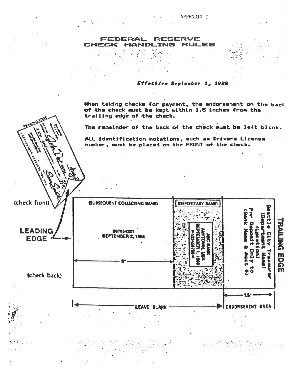#### RESERVE Je **RULES**

# Effective September 1, 1988

When taking checks for payment, the endorsement on the back<br>of the check must be kept within 1.5 inches from the trailing edge of the check.

The remainder of the back of the check must be left blank.

ALL identification notations, such as Drivers License<br>number, must be placed on the FRONT of the check.

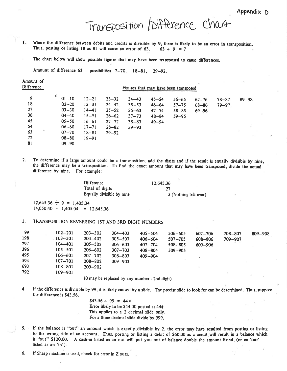Appendix D

# Transposition / Difference chart

1. Where the difference between debits and credits is divisible by 9, there is likely to be an error in transposition. Thus, posting or listing 18 as 81 will cause an error of 63.  $63 \div 9 = 7$ 

The chart below will show possible figures that may have been transposed to cause differences.

Amount of difference 63 - possibilities 7-70, 18-81, 29-92.

| Difference                                    |                                                                                                |                                                                                         |                                                                                         |                                                                            | Figures that may have been transposed                         |                                                  |                                     |                        |           |
|-----------------------------------------------|------------------------------------------------------------------------------------------------|-----------------------------------------------------------------------------------------|-----------------------------------------------------------------------------------------|----------------------------------------------------------------------------|---------------------------------------------------------------|--------------------------------------------------|-------------------------------------|------------------------|-----------|
| 9<br>18<br>27<br>36<br>45<br>54<br>$+1$<br>63 | \$.<br>$01 - 10$<br>$02 - 20$<br>$03 - 30$<br>$04 - 40$<br>$05 - 50$<br>$06 - 60$<br>$07 - 70$ | $12 - 21$<br>$13 - 31$<br>$14 - 41$<br>$15 - 51$<br>$16 - 61$<br>$17 - 71$<br>$18 - 81$ | $23 - 32$<br>$24 - 42$<br>$25 - 52$<br>$26 - 62$<br>$27 - 72$<br>$28 - 82$<br>$29 - 92$ | $34 - 43$<br>$35 - 53$<br>$36 - 63$<br>$37 - 73$<br>$38 - 83$<br>$39 - 93$ | $45 - 54$<br>$46 - 64$<br>$47 - 74$<br>$48 - 84$<br>$49 - 94$ | $56 - 65$<br>$57 - 75$<br>$58 - 85$<br>$59 - 95$ | $67 - 76$<br>$68 - 86$<br>$69 - 96$ | $78 - 87$<br>$79 - 97$ | $89 - 98$ |
| 72<br>81                                      | $08 - 80$<br>$09 - 90$                                                                         | $19 - 91$                                                                               |                                                                                         |                                                                            |                                                               |                                                  |                                     |                        | 55.       |

 $2.$ To determine if a large amount could be a transposition, add the digits and if the result is equally divisible by nine, the difference may be a transposition. To find the exact amount that may have been transposed, divide the actual difference by nine. For example:

| <b>Difference</b>         |  |
|---------------------------|--|
| Total of digits           |  |
| Equally divisible by nine |  |

12,645.36 27 3 (Nothing left over)

 $12,645.36 \div 9 = 1,405.04$  $14,050.40 - 1,405.04 = 12,645.36$ 

Amount of

#### 3. TRANSPOSITION REVERSING IST AND 3RD DIGIT NUMBERS

| 99  | $102 - 201$ | $203 - 302$ | $304 - 403$ | $405 - 504$ | $506 - 605$ | $607 - 706$ | 708-807 | $809 - 908$ |
|-----|-------------|-------------|-------------|-------------|-------------|-------------|---------|-------------|
| 198 | $103 - 301$ | $204 - 402$ | $305 - 503$ | $406 - 604$ | $507 - 705$ | 608-806     | 709-907 |             |
| 297 | $104 - 401$ | $205 - 502$ | $306 - 603$ | $407 - 704$ | $508 - 805$ | 609-906     |         |             |
| 396 | $105 - 501$ | $206 - 602$ | $307 - 703$ | $408 - 804$ | $509 - 905$ |             |         |             |
| 495 | $106 - 601$ | $207 - 702$ | $308 - 803$ | $409 - 904$ |             |             |         |             |
| 594 | $107 - 701$ | $208 - 802$ | $309 - 903$ |             |             |             |         |             |
| 693 | $108 - 801$ | $209 - 902$ |             |             |             |             |         |             |
| 792 | $109 - 901$ |             |             |             |             |             |         |             |
|     |             |             |             |             |             |             |         |             |

(0 may be replaced by any number - 2nd digit)

4. If the difference is divisible by 99, it is likely caused by a slide. The precise slide to look for can be determined. Thus, suppose the difference is \$43.56.

> $$43.56 \div 99 = 44$  ¢ Error likely to be \$44.00 posted as 44¢ This applies to a 2 decimal slide only. For a three decimal slide divide by 999.

If the balance is "out" an amount which is exactly divisible by 2, the error may have resulted from posting or listing 5. to the wrong side of an account. Thus, posting or listing a debit of \$60.00 as a credit will result in a balance which is "out" \$120.00. A cash-in listed as an out will put you out of balance double the amount listed, (or an 'out' listed as an 'in').

6. If Sharp machine is used, check for error in Z outs.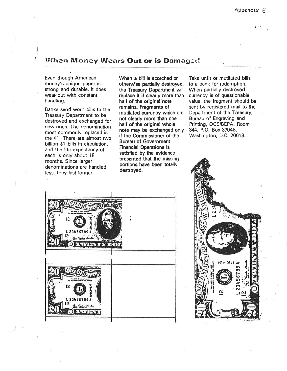#### When Money Wears Out or is Damaged

Even though American money's unique paper is strong and durable, it does wear out with constant handling.

Banks send worn bills to the Treasury Department to be destroyed and exchanged for new ones. The denomination most commonly replaced is the \$1. There are almost two billion \$1 bills in circulation, and the life expectancy of each is only about 18 months. Since larger denominations are handled less, they last longer.

When a bill is scorched or otherwise partially destroyed, the Treasury Department will replace it if clearly more than half of the original note remains. Fragments of mutilated currency which are not clearly more than one half of the original whole note may be exchanged only if the Commissioner of the **Bureau of Government Financial Operations is** satisfied by the evidence presented that the missing portions have been totally destroyed.

Take unfit or mutilated bills to a bank for redemption. When partially destroyed currency is of questionable value, the fragment should be sent by registered mail to the Department of the Treasury, Bureau of Engraving and Printing, OCS/BEPA, Room. 344, P.O. Box 37048, Washington, D.C. 20013.



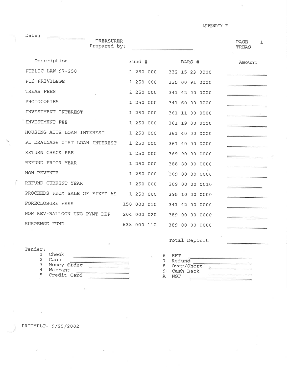AFPENDIX F

|                                | TREASURER<br>Prepared by: |             |           |  |        |                | <b>PAGE</b><br>TREAS | $\mathbf{1}$ |
|--------------------------------|---------------------------|-------------|-----------|--|--------|----------------|----------------------|--------------|
| Description                    |                           | Fund #      |           |  | BARS # |                | Amount               |              |
| PUBLIC LAW 97-258              |                           |             | 1 250 000 |  |        | 332 15 23 0000 |                      |              |
| PUD PRIVILEGE                  |                           | 1 250 000   |           |  |        | 335 00 91 0000 |                      |              |
| TREAS FEES                     |                           | 1 250 000   |           |  |        | 341 42 00 0000 |                      |              |
| PHOTOCOPIES                    |                           | 1 250 000   |           |  |        | 341 60 00 0000 |                      |              |
| INVESTMENT INTEREST            |                           | 1 250 000   |           |  |        | 361 11 00 0000 |                      |              |
| INVESTMENT FEE                 |                           | 1 250 000   |           |  |        | 361 19 00 0000 |                      |              |
| HOUSING AUTH LOAN INTEREST     |                           | 1 250 000   |           |  |        | 361 40 00 0000 |                      |              |
| PL DRAINAGE DIST LOAN INTEREST |                           | 1 250 000   |           |  |        | 361 40 00 0000 |                      |              |
| RETURN CHECK FEE               |                           | 1 250 000   |           |  |        | 369 90 00 0000 |                      |              |
| REFUND PRIOR YEAR              |                           | 1 250 000   |           |  |        | 388 80 00 0000 |                      |              |
| NON-REVENUE                    |                           | 1 250 000   |           |  |        | 389 00 00 0000 |                      |              |
| REFUND CURRENT YEAR            |                           | 1 250 000   |           |  |        | 389 00 00 0010 |                      |              |
| PROCEEDS FROM SALE OF FIXED AS |                           | 1 250 000   |           |  |        | 395 10 00 0000 |                      |              |
| FORECLOSURE FEES               |                           | 150 000 010 |           |  |        | 341 42 00 0000 |                      |              |
| NON REV-BALLOON HNG PYMT DEP   |                           | 204 000 020 |           |  |        | 389 00 00 0000 |                      |              |
| SUSPENSE FUND                  |                           | 638 000 110 |           |  |        | 389 00 00 0000 |                      |              |

Total Deposit

| Tender: |             |  |            | the property of the property of the control of |
|---------|-------------|--|------------|------------------------------------------------|
|         | Check       |  | EFT        |                                                |
|         | Cash        |  | Refund     |                                                |
|         | Money Order |  | Over/Short |                                                |
|         | Warrant     |  | Cash Back  |                                                |
| ᄃ       | Credit Card |  | NSF        |                                                |

PRTTMPLT- 9/25/2002

h.

Date: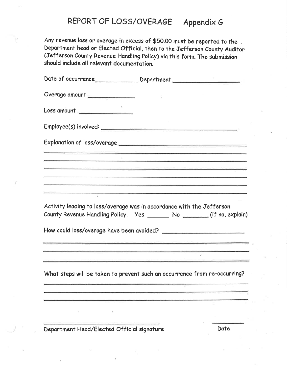#### REPORT OF LOSS/OVERAGE Appendix G

Any revenue loss or overage in excess of \$50.00 must be reported to the Department head or Elected Official, then to the Jefferson County Auditor (Jefferson County Revenue Handling Policy) via this form. The submission should include all relevant documentation.

|                                                                                                                                                   | Date of occurrence__________________ Department ________________________________                                                                                                                                                     |  |  |  |  |  |
|---------------------------------------------------------------------------------------------------------------------------------------------------|--------------------------------------------------------------------------------------------------------------------------------------------------------------------------------------------------------------------------------------|--|--|--|--|--|
| Overage amount                                                                                                                                    |                                                                                                                                                                                                                                      |  |  |  |  |  |
| Loss amount                                                                                                                                       |                                                                                                                                                                                                                                      |  |  |  |  |  |
| Employee(s) involved:                                                                                                                             |                                                                                                                                                                                                                                      |  |  |  |  |  |
|                                                                                                                                                   |                                                                                                                                                                                                                                      |  |  |  |  |  |
|                                                                                                                                                   |                                                                                                                                                                                                                                      |  |  |  |  |  |
|                                                                                                                                                   | <u> 1988 - Adam Andrea Andrea Angeles (h. 1988).</u>                                                                                                                                                                                 |  |  |  |  |  |
|                                                                                                                                                   | <u> 1986 - Jan James Sand, Amerikaansk politiker († 1958)</u>                                                                                                                                                                        |  |  |  |  |  |
| Activity leading to loss/overage was in accordance with the Jefferson<br>County Revenue Handling Policy.  Yes _______ No _______ (if no, explain) |                                                                                                                                                                                                                                      |  |  |  |  |  |
|                                                                                                                                                   |                                                                                                                                                                                                                                      |  |  |  |  |  |
|                                                                                                                                                   | <u> 1989 - Andrej Standard Standard Standard Standard Standard Standard Standard Standard Standard Standard Standard Standard Standard Standard Standard Standard Standard Standard Standard Standard Standard Standard Standard</u> |  |  |  |  |  |
|                                                                                                                                                   | <u> 1980 - An Aonaichte ann an Comhair ann an Chuireachtach an Dùbhlachd ann an Chuireachd ann an Chuireach</u>                                                                                                                      |  |  |  |  |  |
|                                                                                                                                                   | What steps will be taken to prevent such an occurrence from re-occurring?                                                                                                                                                            |  |  |  |  |  |
|                                                                                                                                                   |                                                                                                                                                                                                                                      |  |  |  |  |  |
|                                                                                                                                                   |                                                                                                                                                                                                                                      |  |  |  |  |  |
|                                                                                                                                                   |                                                                                                                                                                                                                                      |  |  |  |  |  |

Department Head/Elected Official signature

Date